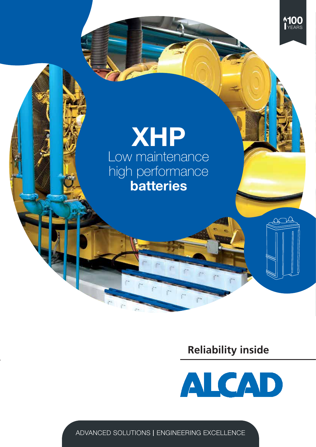

## Low maintenance high performance batteries XHP

### **Reliability inside**

**WW** 



ADVANCED SOLUTIONS | ENGINEERING EXCELLENCE

 $\tilde{\Gamma}^*$ 

 $\mathcal{S}^{\mathcal{A}}$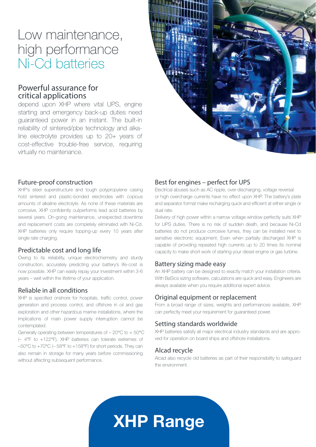### Low maintenance, high performance Ni-Cd batteries

### Powerful assurance for critical applications

depend upon XHP where vital UPS, engine starting and emergency back-up duties need guaranteed power in an instant. The built-in reliability of sintered/pbe technology and alkaline electrolyte provides up to 20+ years of cost-effective trouble-free service, requiring virtually no maintenance.



#### Future-proof construction

XHP's steel superstructure and tough polypropylene casing hold sintered and plastic-bonded electrodes with copious amounts of alkaline electrolyte. As none of these materials are corrosive, XHP confidently outperforms lead acid batteries by several years. On-going maintenance, unexpected downtime and replacement costs are completely eliminated with Ni-Cd. XHP batteries only require topping-up every 10 years after single rate charging.

#### Predictable cost and long life

Owing to its reliability, unique electrochemistry and sturdy construction, accurately predicting your battery's life-cost is now possible. XHP can easily repay your investment within 3-6 years – well within the lifetime of your application.

#### Reliable in all conditions

XHP is specified onshore for hospitals, traffic control, power generation and process control, and offshore in oil and gas exploration and other hazardous marine installations, where the implications of main power supply interruption cannot be contemplated.

Generally operating between temperatures of – 20°C to + 50°C (– 4°F to +122°F), XHP batteries can tolerate extremes of –50°C to +70°C (– 58°F to +158°F) for short periods. They can also remain in storage for many years before commissioning without affecting subsequent performance.

#### Best for engines – perfect for UPS

Electrical abuses such as AC ripple, over-discharging, voltage reversal or high overcharge currents have no effect upon XHP. The battery's plate and separator format make recharging quick and efficient at either single or dual rate.

Delivery of high power within a narrow voltage window perfectly suits XHP for UPS duties. There is no risk of sudden death, and because Ni-Cd batteries do not produce corrosive fumes, they can be installed next to sensitive electronic equipment. Even when partially discharged XHP is capable of providing repeated high currents up to 20 times its nominal capacity to make short work of starting your diesel engine or gas turbine.

#### Battery sizing made easy

An XHP battery can be designed to exactly match your installation criteria. With BaSics sizing software, calculations are quick and easy. Engineers are always available when you require additional expert advice.

#### Original equipment or replacement

From a broad range of sizes, weights and performances available, XHP can perfectly meet your requirement for guaranteed power.

#### Setting standards worldwide

XHP batteries satisfy all major electrical industry standards and are approved for operation on board ships and offshore installations.

#### Alcad recycle

Alcad also recycle old batteries as part of their responsibility to safeguard the environment.

# XHP Range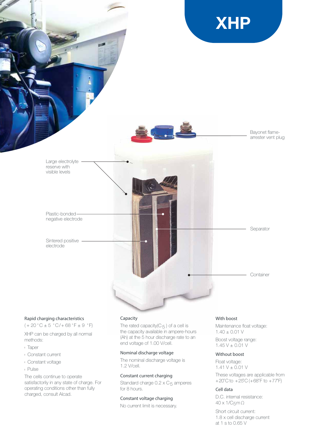

#### Rapid charging characteristics

 $(+20 °C \pm 5 °C/+68 °F \pm 9 °F)$ 

XHP can be charged by all normal methods:

- <sup>l</sup> Taper
- <sup>l</sup> Constant current
- <sup>l</sup> Constant voltage
- <sup>l</sup> Pulse

The cells continue to operate satisfactorily in any state of charge. For operating conditions other than fully charged, consult Alcad.

#### Capacity

The rated capacity( $C_5$ ) of a cell is the capacity available in ampere-hours (Ah) at the 5 hour discharge rate to an end voltage of 1.00 V/cell.

#### Nominal discharge voltage

The nominal discharge voltage is 1.2 V/cell.

#### Constant current charging

Standard charge  $0.2 \times C_5$  amperes for 8 hours.

#### Constant voltage charging

No current limit is necessary.

#### With boost

Maintenance float voltage: 1.40 ± 0.01 V Boost voltage range:

 $1.45 V \pm 0.01 V$ 

#### Without boost

Float voltage:  $1.41 V \pm 0.01 V$ These voltages are applicable from  $+20^{\circ}$ C to  $+25^{\circ}$ C (+68 $^{\circ}$ F to  $+77^{\circ}$ F)

#### Cell data

D.C. internal resistance: 40 x 1/C5mΩ

Short circuit current: 1.8 x cell discharge current at 1 s to 0.65 V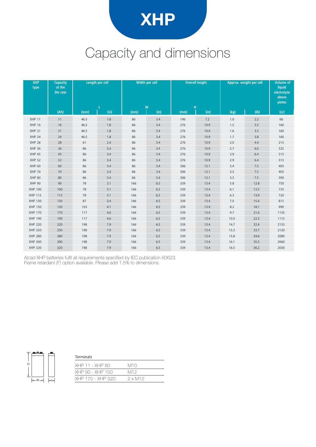

## Capacity and dimensions

| <b>XHP</b><br>type | <b>Capacity</b><br>at the<br>5hr rate | Length per cell |      |      | Width per cell |           | <b>Overall height</b> | Approx. weight per cell | <b>Volume of</b><br>liquid<br>electrolyte<br>above<br>plates |      |
|--------------------|---------------------------------------|-----------------|------|------|----------------|-----------|-----------------------|-------------------------|--------------------------------------------------------------|------|
|                    | (Ah)                                  | (mm)            | (in) | (mm) | W<br>(in)      | H<br>(mm) | (in)                  | (kg)                    | (lb)                                                         | (cc) |
| <b>XHP 11</b>      | 11                                    | 46.5            | 1.8  | 86   | 3.4            | 196       | 7.2                   | $1.0\,$                 | 2.2                                                          | 66   |
| <b>XHP 16</b>      | 16                                    | 46.5            | 1.8  | 86   | 3.4            | 276       | 10.9                  | 1.5                     | 3.5                                                          | 160  |
| <b>XHP 21</b>      | 21                                    | 46.5            | 1.8  | 86   | 3.4            | 276       | 10.9                  | 1.6                     | 3.5                                                          | 160  |
| <b>XHP 24</b>      | 24                                    | 46.5            | 1.8  | 86   | 3.4            | 276       | 10.9                  | 1.7                     | 3.8                                                          | 160  |
| <b>XHP 28</b>      | 28                                    | 61              | 2.4  | 86   | 3.4            | 276       | 10.9                  | $2.0$                   | 4.4                                                          | 215  |
| <b>XHP 36</b>      | 36                                    | 86              | 3.4  | 86   | 3.4            | 276       | 10.9                  | 2.7                     | 6.0                                                          | 325  |
| <b>XHP 45</b>      | 45                                    | 86              | 3.4  | 86   | 3.4            | 276       | 10.9                  | 2.9                     | 6.4                                                          | 315  |
| <b>XHP 52</b>      | 52                                    | 86              | 3.4  | 86   | 3.4            | 276       | 10.9                  | 2.9                     | 6.4                                                          | 315  |
| <b>XHP 60</b>      | 60                                    | 86              | 3.4  | 86   | 3.4            | 306       | 12.1                  | 3.4                     | $7.5\,$                                                      | 405  |
| <b>XHP 70</b>      | 70                                    | 86              | 3.4  | 86   | 3.4            | 306       | 12.1                  | 3.5                     | 7.5                                                          | 405  |
| <b>XHP 80</b>      | 80                                    | 86              | 3.4  | 86   | 3.4            | 306       | 12.1                  | 3.5                     | 7.5                                                          | 390  |
| <b>XHP 90</b>      | 90                                    | 78              | 3.1  | 166  | 6.5            | 339       | 13.4                  | 5.8                     | 12.8                                                         | 750  |
| <b>XHP 100</b>     | 100                                   | 78              | 3.1  | 166  | 6.5            | 339       | 13.4                  | 6.1                     | 13.5                                                         | 735  |
| <b>XHP 115</b>     | 115                                   | 78              | 3.1  | 166  | 6.5            | 339       | 13.4                  | 6.3                     | 13.9                                                         | 720  |
| <b>XHP 130</b>     | 130                                   | 87              | 3.4  | 166  | 6.5            | 339       | 13.4                  | $7.0\,$                 | 15.4                                                         | 815  |
| <b>XHP 150</b>     | 150                                   | 103             | 4.1  | 166  | 6.5            | 339       | 13.4                  | 8.2                     | 18.1                                                         | 990  |
| <b>XHP 170</b>     | 170                                   | 117             | 4.6  | 166  | 6.5            | 339       | 13.4                  | 9.7                     | 21.6                                                         | 1135 |
| <b>XHP 190</b>     | 190                                   | 117             | 4.6  | 166  | 6.5            | 339       | 13.4                  | 10.0                    | 22.3                                                         | 1115 |
| <b>XHP 220</b>     | 220                                   | 198             | 7.9  | 166  | 6.5            | 339       | 13.4                  | 14.7                    | 32.4                                                         | 2155 |
| <b>XHP 250</b>     | 250                                   | 198             | 7.9  | 166  | 6.5            | 339       | 13.4                  | 15.3                    | 33.7                                                         | 2120 |
| <b>XHP 280</b>     | 280                                   | 198             | 7.9  | 166  | 6.5            | 339       | 13.4                  | 15.8                    | 34.6                                                         | 2080 |
| <b>XHP 300</b>     | 300                                   | 198             | 7.9  | 166  | 6.5            | 339       | 13.4                  | 16.1                    | 35.5                                                         | 2060 |
| <b>XHP 320</b>     | 320                                   | 198             | 7.9  | 166  | 6.5            | 339       | 13.4                  | 16.5                    | 36.2                                                         | 2030 |

Alcad XHP batteries fulfil all requirements specified by IEC publication 60623. Flame retardant (F) option available. Please add 1.5% to dimensions.



#### Terminals

| M10            |
|----------------|
| M12            |
| $2 \times M12$ |
|                |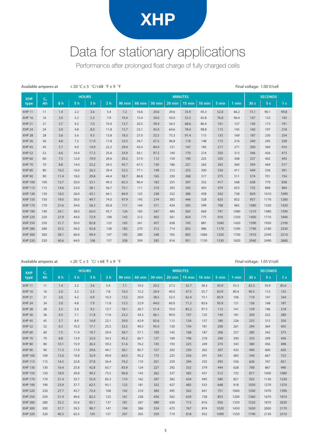## XHP

### Data for stationary applications

Performance after prolonged float charge of fully charged cells

| <b>XHP</b>     | $C_{5}$ |                |                | <b>HOURS</b>   |                | <b>MINUTES</b> |               |               |          |        |          |       |       |                 | <b>SECONDS</b> |                |  |
|----------------|---------|----------------|----------------|----------------|----------------|----------------|---------------|---------------|----------|--------|----------|-------|-------|-----------------|----------------|----------------|--|
| type           | Ah      | 8 <sub>h</sub> | 5 <sub>h</sub> | 3 <sub>h</sub> | 2 <sub>h</sub> | <b>90 min</b>  | <b>60 min</b> | <b>30 min</b> | $20$ min | 15 min | $10$ min | 5 min | 1 min | 30 <sub>s</sub> | 5 <sub>s</sub> | 1 <sub>s</sub> |  |
| <b>XHP 11</b>  | 11      | 1.4            | 2.2            | 3.6            | 5.4            | 7.2            | 10.6          | 20.6          | 29.6     | 35.9   | 45.3     | 52.8  | 66.2  | 73.1            | 90.1           | 99.8           |  |
| <b>XHP 16</b>  | 16      | 2.0            | 3.2            | 5.3            | 7.9            | 10.4           | 15.4          | 30.0          | 43.0     | 52.3   | 65.8     | 76.8  | 96.4  | 107             | 132            | 145            |  |
| <b>XHP 21</b>  | 21      | 2.7            | 4.2            | 7.0            | 10.4           | 13.7           | 20.3          | 39.4          | 56.5     | 68.6   | 86.4     | 101   | 127   | 140             | 173            | 191            |  |
| <b>XHP 24</b>  | 24      | 3.0            | 4.8            | 8.0            | 11.8           | 15.7           | 23.1          | 45.0          | 64.6     | 78.4   | 98.8     | 115   | 145   | 160             | 197            | 218            |  |
| <b>XHP 28</b>  | 28      | 3.6            | 5.6            | 9.3            | 13.8           | 18.3           | 27.0          | 52.5          | 75.3     | 91.4   | 115      | 135   | 169   | 187             | 230            | 254            |  |
| <b>XHP 36</b>  | 36      | 4.6            | 7.2            | 11.9           | 17.8           | 23.5           | 34.7          | 67.5          | 96.8     | 118    | 148      | 173   | 216   | 240             | 295            | 328            |  |
| <b>XHP 45</b>  | 45      | 5.7            | 9.0            | 14.9           | 22.2           | 29.4           | 43.4          | 84.4          | 121      | 147    | 185      | 217   | 271   | 300             | 369            | 410            |  |
| <b>XHP 52</b>  | 52      | 6.6            | 10.4           | 17.2           | 25.6           | 33.9           | 50.1          | 97.5          | 140      | 170    | 214      | 250   | 313   | 346             | 426            | 473            |  |
| <b>XHP 60</b>  | 60      | 7.5            | 12.0           | 19.9           | 29.6           | 39.2           | 57.9          | 112           | 159      | 190    | 225      | 250   | 308   | 337             | 402            | 443            |  |
| <b>XHP 70</b>  | 70      | 8.8            | 14.0           | 23.2           | 34.5           | 45.7           | 67.5          | 130           | 186      | 221    | 263      | 292   | 360   | 394             | 469            | 517            |  |
| <b>XHP 80</b>  | 80      | 10.2           | 16.0           | 26.5           | 39.4           | 52.2           | 77.1          | 149           | 212      | 253    | 300      | 334   | 411   | 449             | 536            | 591            |  |
| <b>XHP 90</b>  | 90      | 11.4           | 18.0           | 29.8           | 44.4           | 58.7           | 86.8          | 165           | 230      | 268    | 317      | 375   | 511   | 574             | 701            | 754            |  |
| <b>XHP 100</b> | 100     | 12.7           | 20.0           | 33.1           | 49.3           | 65.3           | 96.4          | 183           | 255      | 297    | 352      | 417   | 568   | 638             | 779            | 838            |  |
| <b>XHP 115</b> | 115     | 14.6           | 23.0           | 38.1           | 56.7           | 75.1           | 111           | 210           | 293      | 342    | 405      | 479   | 653   | 733             | 896            | 964            |  |
| <b>XHP 130</b> | 130     | 16.5           | 26.0           | 43.1           | 64.1           | 84.9           | 125           | 238           | 332      | 386    | 458      | 542   | 738   | 829             | 1010           | 1090           |  |
| <b>XHP 150</b> | 150     | 19.0           | 30.0           | 49.7           | 74.0           | 97.9           | 145           | 274           | 383      | 446    | 528      | 625   | 852   | 957             | 1170           | 1260           |  |
| <b>XHP 170</b> | 170     | 21.6           | 34.0           | 56.3           | 83.8           | 111            | 164           | 311           | 434      | 505    | 599      | 708   | 965   | 1080            | 1320           | 1420           |  |
| <b>XHP 190</b> | 190     | 24.1           | 38.0           | 63.0           | 93.7           | 124            | 183           | 347           | 485      | 565    | 669      | 791   | 1080  | 1210            | 1480           | 1590           |  |
| <b>XHP 220</b> | 220     | 27.9           | 44.0           | 72.9           | 108            | 143            | 212           | 402           | 561      | 654    | 775      | 916   | 1250  | 1400            | 1710           | 1840           |  |
| <b>XHP 250</b> | 250     | 31.7           | 50.0           | 82.8           | 123            | 163            | 241           | 457           | 638      | 743    | 881      | 1040  | 1420  | 1590            | 1950           | 2100           |  |
| <b>XHP 280</b> | 280     | 35.5           | 56.0           | 92.8           | 138            | 182            | 270           | 512           | 714      | 832    | 986      | 1170  | 1590  | 1790            | 2180           | 2350           |  |
| <b>XHP 300</b> | 300     | 38.1           | 60.0           | 99.4           | 147            | 195            | 289           | 548           | 765      | 892    | 1060     | 1250  | 1700  | 1910            | 2340           | 2510           |  |
| <b>XHP 320</b> | 320     | 40.6           | 64.0           | 106            | 157            | 208            | 309           | 585           | 816      | 951    | 1130     | 1330  | 1820  | 2040            | 2490           | 2680           |  |

#### Available amperes at  $+20$   $\degree$ C + 5  $\degree$ C/ +68  $\degree$ F + 9  $\degree$ F  $\degree$  Final voltage: 1.05 V/cell

Final voltage: 1.00 V/cell

| <i>i</i> wanapic amperes at |                |      |                |                |                |      |                |                          |          |          |          |       |       | $\cdots$ $\cdots$ |                |                |  |  |
|-----------------------------|----------------|------|----------------|----------------|----------------|------|----------------|--------------------------|----------|----------|----------|-------|-------|-------------------|----------------|----------------|--|--|
| <b>XHP</b>                  | C <sub>5</sub> |      | <b>HOURS</b>   |                |                |      | <b>MINUTES</b> |                          |          |          |          |       |       |                   |                | <b>SECONDS</b> |  |  |
| type                        | Ah             | 8 h  | 5 <sub>h</sub> | 3 <sub>h</sub> | 2 <sub>h</sub> |      |                | 90 min   60 min   30 min | $20$ min | $15$ min | $10$ min | 5 min | 1 min | 30 <sub>s</sub>   | 5 <sub>s</sub> | 1 <sub>s</sub> |  |  |
| <b>XHP 11</b>               | 11             | 1.4  | 2.2            | 3.6            | 5.4            | 7.1  | 10.5           | 20.2                     | 27.5     | 32.7     | 38.3     | 43.9  | 55.3  | 62.3              | 76.9           | 85.6           |  |  |
| <b>XHP 16</b>               | 16             | 2.0  | 3.2            | 5.3            | 7.8            | 10.3 | 15.2           | 29.4                     | 40.0     | 47.5     | 55.7     | 63.9  | 80.4  | 90.5              | 112            | 125            |  |  |
| <b>XHP 21</b>               | 21             | 2.6  | 4.2            | 6.9            | 10.3           | 13.5 | 20.0           | 38.5                     | 52.5     | 62.4     | 73.1     | 83.9  | 106   | 119               | 147            | 164            |  |  |
| <b>XHP 24</b>               | 24             | 3.0  | 4.8            | 7.9            | 11.8           | 15.5 | 22.9           | 44.0                     | 60.0     | 71.3     | 83.6     | 95.9  | 121   | 136               | 168            | 187            |  |  |
| <b>XHP 28</b>               | 28             | 3.5  | 5.6            | 9.2            | 13.7           | 18.1 | 26.7           | 51.4                     | 70.0     | 83.2     | 97.5     | 112   | 141   | 159               | 196            | 218            |  |  |
| <b>XHP 36</b>               | 36             | 4.5  | 7.1            | 11.8           | 17.6           | 23.2 | 34.3           | 66.1                     | 90.0     | 107      | 125      | 144   | 181   | 204               | 252            | 280            |  |  |
| <b>XHP 45</b>               | 45             | 5.7  | 8.9            | 14.8           | 22.1           | 29.0 | 42.9           | 82.6                     | 113      | 134      | 157      | 180   | 226   | 255               | 315            | 350            |  |  |
| <b>XHP 52</b>               | 52             | 6.5  | 10.3           | 17.1           | 25.5           | 33.5 | 49.5           | 95.4                     | 130      | 154      | 181      | 208   | 261   | 294               | 364            | 405            |  |  |
| <b>XHP 60</b>               | 60             | 7.5  | 11.9           | 19.7           | 29.4           | 38.7 | 57.1           | 109                      | 145      | 168      | 187      | 206   | 257   | 285               | 342            | 373            |  |  |
| <b>XHP 70</b>               | 70             | 8.8  | 13.9           | 23.0           | 34.3           | 45.2 | 66.7           | 127                      | 169      | 196      | 218      | 240   | 300   | 333               | 399            | 436            |  |  |
| <b>XHP 80</b>               | 80             | 10.1 | 15.9           | 26.3           | 39.2           | 51.6 | 76.2           | 145                      | 193      | 223      | 249      | 274   | 343   | 380               | 456            | 498            |  |  |
| <b>XHP 90</b>               | 90             | 11.3 | 17.9           | 29.6           | 44.1           | 58.1 | 85.7           | 157                      | 202      | 230      | 262      | 307   | 435   | 490               | 600            | 650            |  |  |
| <b>XHP 100</b>              | 100            | 12.6 | 19.8           | 32.9           | 49.0           | 64.5 | 95.2           | 175                      | 225      | 256      | 291      | 341   | 483   | 544               | 667            | 723            |  |  |
| <b>XHP 115</b>              | 115            | 14.5 | 22.8           | 37.8           | 56.4           | 74.2 | 110            | 201                      | 259      | 294      | 335      | 393   | 556   | 626               | 767            | 831            |  |  |
| <b>XHP 130</b>              | 130            | 16.4 | 25.8           | 42.8           | 63.7           | 83.9 | 124            | 227                      | 292      | 332      | 379      | 444   | 628   | 708               | 867            | 940            |  |  |
| <b>XHP 150</b>              | 150            | 18.9 | 29.8           | 49.3           | 73.5           | 96.8 | 143            | 262                      | 337      | 383      | 437      | 512   | 725   | 817               | 1000           | 1080           |  |  |
| <b>XHP 170</b>              | 170            | 21.4 | 33.7           | 55.9           | 83.3           | 110  | 162            | 297                      | 382      | 434      | 495      | 580   | 821   | 925               | 1130           | 1230           |  |  |
| <b>XHP 190</b>              | 190            | 23.9 | 37.7           | 62.5           | 93.1           | 123  | 181            | 332                      | 427      | 485      | 553      | 648   | 918   | 1030              | 1270           | 1370           |  |  |
| <b>XHP 220</b>              | 220            | 27.7 | 43.7           | 72.4           | 108            | 142  | 210            | 384                      | 495      | 562      | 641      | 751   | 1060  | 1200              | 1470           | 1590           |  |  |
| <b>XHP 250</b>              | 250            | 31.4 | 49.6           | 82.2           | 123            | 161  | 238            | 436                      | 562      | 639      | 728      | 853   | 1200  | 1360              | 1670           | 1810           |  |  |
| <b>XHP 280</b>              | 280            | 35.2 | 55.6           | 92.1           | 137            | 181  | 267            | 489                      | 630      | 715      | 816      | 956   | 1350  | 1520              | 1870           | 2020           |  |  |
| <b>XHP 300</b>              | 300            | 37.7 | 59.5           | 98.7           | 147            | 194  | 286            | 524                      | 675      | 767      | 874      | 1020  | 1450  | 1630              | 2000           | 2170           |  |  |
| <b>XHP 320</b>              | 320            | 40.3 | 63.5           | 105            | 157            | 207  | 305            | 559                      | 719      | 818      | 932      | 1090  | 1550  | 1740              | 2130           | 2310           |  |  |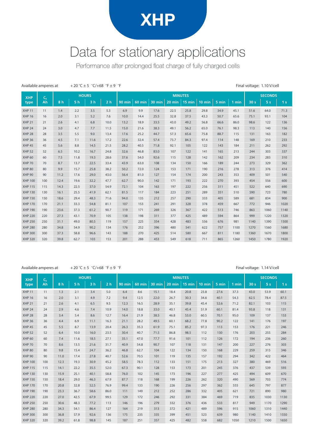## XHP

### Data for stationary applications

Performance after prolonged float charge of fully charged cells

| +20 °C ± 5 $^{\circ}$ C/+68 $^{\circ}$ F ± 9 $^{\circ}$ F<br>Available amperes at |                |      |                |                |                |               |                |        |        | Final voltage: 1.10 V/cell |          |       |       |                 |                |                |  |  |
|-----------------------------------------------------------------------------------|----------------|------|----------------|----------------|----------------|---------------|----------------|--------|--------|----------------------------|----------|-------|-------|-----------------|----------------|----------------|--|--|
| <b>XHP</b>                                                                        | $\mathsf{C}_5$ |      |                | <b>HOURS</b>   |                |               | <b>MINUTES</b> |        |        |                            |          |       |       |                 |                | <b>SECONDS</b> |  |  |
| type                                                                              | Ah             | 8h   | 5 <sub>h</sub> | 3 <sub>h</sub> | 2 <sub>h</sub> | <b>90 min</b> | <b>60 min</b>  | 30 min | 20 min | 15 min                     | $10$ min | 5 min | 1 min | 30 <sub>s</sub> | 5 <sub>s</sub> | 1 <sub>s</sub> |  |  |
| <b>XHP 11</b>                                                                     | 11             | 1.4  | 2.2            | 3.5            | 5.3            | 6.9           | 9.9            | 17.6   | 22.5   | 25.8                       | 29.8     | 34.9  | 45.1  | 51.6            | 64.0           | 71.3           |  |  |
| <b>XHP 16</b>                                                                     | 16             | 2.0  | 3.1            | 5.2            | 7.6            | 10.0          | 14.4           | 25.5   | 32.8   | 37.5                       | 43.3     | 50.7  | 65.6  | 75.1            | 93.1           | 104            |  |  |
| <b>XHP 21</b>                                                                     | 21             | 2.6  | 4.1            | 6.8            | 10.0           | 13.2          | 18.9           | 33.5   | 43.0   | 49.2                       | 56.8     | 66.6  | 86.0  | 98.6            | 122            | 136            |  |  |
| <b>XHP 24</b>                                                                     | 24             | 3.0  | 4.7            | 7.7            | 11.5           | 15.0          | 21.6           | 38.3   | 49.1   | 56.2                       | 65.0     | 76.1  | 98.3  | 113             | 140            | 156            |  |  |
| <b>XHP 28</b>                                                                     | 28             | 3.5  | 5.5            | 9.0            | 13.4           | 17.6          | 25.2           | 44.7   | 57.3   | 65.6                       | 75.8     | 88.7  | 115   | 131             | 163            | 182            |  |  |
| <b>XHP 36</b>                                                                     | 36             | 4.5  | 7.1            | 11.6           | 17.2           | 22.6          | 32.4           | 57.4   | 73.7   | 84.3                       | 97.4     | 114   | 148   | 169             | 210            | 233            |  |  |
| <b>XHP 45</b>                                                                     | 45             | 5.6  | 8.8            | 14.5           | 21.5           | 28.2          | 40.5           | 71.8   | 92.1   | 105                        | 122      | 143   | 184   | 211             | 262            | 292            |  |  |
| <b>XHP 52</b>                                                                     | 52             | 6.5  | 10.2           | 16.7           | 24.8           | 32.6          | 46.8           | 83.0   | 107    | 122                        | 141      | 165   | 213   | 244             | 303            | 337            |  |  |
| <b>XHP 60</b>                                                                     | 60             | 7.5  | 11.8           | 19.3           | 28.6           | 37.6          | 54.0           | 92.6   | 115    | 128                        | 142      | 162   | 209   | 234             | 283            | 310            |  |  |
| <b>XHP 70</b>                                                                     | 70             | 8.7  | 13.7           | 22.5           | 33.4           | 43.9          | 63.0           | 108    | 134    | 150                        | 166      | 189   | 244   | 273             | 329            | 362            |  |  |
| <b>XHP 80</b>                                                                     | 80             | 9.9  | 15.7           | 25.8           | 38.2           | 50.2          | 72.0           | 124    | 153    | 171                        | 190      | 216   | 278   | 313             | 376            | 414            |  |  |
| <b>XHP 90</b>                                                                     | 90             | 11.2 | 17.6           | 29.0           | 43.0           | 56.4          | 81.0           | 127    | 154    | 174                        | 200      | 243   | 353   | 409             | 501            | 540            |  |  |
| <b>XHP 100</b>                                                                    | 100            | 12.4 | 19.6           | 32.2           | 47.7           | 62.7          | 90.0           | 142    | 171    | 193                        | 222      | 270   | 393   | 454             | 556            | 600            |  |  |
| <b>XHP 115</b>                                                                    | 115            | 14.3 | 22.5           | 37.0           | 54.9           | 72.1          | 104            | 163    | 197    | 222                        | 256      | 311   | 451   | 522             | 640            | 690            |  |  |
| <b>XHP 130</b>                                                                    | 130            | 16.1 | 25.5           | 41.9           | 62.1           | 81.5          | 117            | 184    | 223    | 251                        | 289      | 351   | 510   | 590             | 723            | 780            |  |  |
| <b>XHP 150</b>                                                                    | 150            | 18.6 | 29.4           | 48.3           | 71.6           | 94.0          | 135            | 212    | 257    | 290                        | 333      | 405   | 589   | 681             | 834            | 900            |  |  |
| <b>XHP 170</b>                                                                    | 170            | 21.1 | 33.3           | 54.8           | 81.1           | 107           | 153            | 241    | 291    | 328                        | 378      | 459   | 667   | 772             | 946            | 1020           |  |  |
| <b>XHP 190</b>                                                                    | 190            | 23.6 | 37.3           | 61.2           | 90.7           | 119           | 171            | 269    | 326    | 367                        | 422      | 513   | 746   | 863             | 1060           | 1140           |  |  |
| <b>XHP 220</b>                                                                    | 220            | 27.3 | 43.1           | 70.9           | 105            | 138           | 198            | 311    | 377    | 425                        | 489      | 594   | 864   | 999             | 1220           | 1320           |  |  |
| <b>XHP 250</b>                                                                    | 250            | 31.1 | 49.0           | 80.5           | 119            | 157           | 225            | 354    | 428    | 483                        | 556      | 676   | 981   | 1140            | 1390           | 1500           |  |  |
| <b>XHP 280</b>                                                                    | 280            | 34.8 | 54.9           | 90.2           | 134            | 176           | 252            | 396    | 480    | 541                        | 622      | 757   | 1100  | 1270            | 1560           | 1680           |  |  |
| <b>XHP 300</b>                                                                    | 300            | 37.3 | 58.8           | 96.6           | 143            | 188           | 270            | 425    | 514    | 580                        | 667      | 811   | 1180  | 1360            | 1670           | 1800           |  |  |
| <b>XHP 320</b>                                                                    | 320            | 39.8 | 62.7           | 103            | 153            | 201           | 288            | 453    | 549    | 618                        | 711      | 865   | 1260  | 1450            | 1780           | 1920           |  |  |

#### Available amperes at  $+20^{\circ}$ C ± 5  $\degree$ C/+68  $\degree$ F  $\pm$  9  $\degree$ F  $\phantom{+}$  Final voltage: 1.14 V/cell

**XHP type Ah** 8h | 5h | 3h | 2h | 90 min | 60 min | 30 min | 20 min | 15 min | 10 min | 5 min | 1 min | 30s | 5s | 1s **HOURS MINUTES SECONDS** XHP 11 11 1.3 2.1 3.4 5.0 6.4 8.6 15.1 18.4 20.8 23.8 27.6 37.3 43.0 53.9 60.1 XHP 16 16 2.0 3.1 4.9 7.2 9.4 12.5 22.0 26.7 30.3 34.6 40.1 54.3 62.5 78.4 87.5 XHP 21 21 2.6 4.1 6.5 9.5 12.3 16.5 28.9 35.1 39.8 45.4 52.6 71.2 82.1 103 115 XHP 24 24 2.9 4.6 7.4 10.9 14.0 18.8 33.0 40.1 45.4 51.9 60.1 81.4 93.8 118 131 XHP 28 28 3.4 5.4 8.6 12.7 16.4 21.9 38.5 46.8 53.0 60.5 70.1 95.0 109 137 153 XHP 36 36 4.4 6.9 11.1 16.3 21.1 28.2 49.5 60.1 68.2 77.8 90.2 122 141 176 197 XHP 45 45 5.5 8.7 13.9 20.4 26.3 35.3 61.9 75.1 85.2 97.3 113 153 176 221 246 XHP 52 52 6.4 10.0 16.0 23.5 30.4 40.7 71.5 86.8 98.5 112 130 176 203 255 284 XHP 60 60 7.4 11.6 18.5 27.1 35.1 47.0 77.7 91.6 101 112 126 172 194 236 260 XHP 70 70 8.6 13.5 21.6 31.7 40.9 54.8 90.7 107 118 131 147 200 227 276 303 XHP 80 80 9.8 15.4 24.7 36.2 46.8 62.7 104 122 134 150 168 229 259 315 346 XHP 90 90 11.0 17.4 27.8 40.7 52.6 70.5 101 119 135 157 192 294 342 422 464 XHP 100 100 12.3 19.3 30.9 45.2 58.5 78.3 112 133 151 175 213 327 380 469 516 XHP 115 115 14.1 22.2 35.5 52.0 67.3 90.1 128 153 173 201 245 376 437 539 593 XHP 130 130 15.9 25.1 40.1 58.8 76.0 102 145 173 196 227 277 425 494 609 670 XHP 150 150 18.4 29.0 46.3 67.9 87.7 118 168 199 226 262 320 490 569 703 774 XHP 170 170 20.8 32.8 52.5 76.9 99.4 133 190 226 256 297 362 555 645 797 877 XHP 190 190 23.3 36.7 58.6 86.0 111 149 212 252 286 332 405 621 721 890 980 XHP 220 220 27.0 42.5 67.9 99.5 129 172 246 292 331 384 469 719 835 1030 1130 XHP 250 250 30.6 48.3 77.2 113 146 196 279 332 376 436 533 817 949 1170 1290 XHP 280 280 34.3 54.1 86.4 127 164 219 313 372 421 489 596 915 1060 1310 1440 XHP 300 300 36.8 57.9 92.6 136 175 235 335 399 451 523 639 980 1140 1410 1550 XHP 320 320 39.2 61.8 98.8 145 187 251 357 425 482 558 682 1050 1210 1500 1650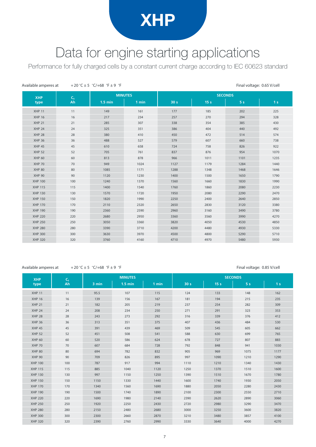### XHP

### Data for engine starting applications

Performance for fully charged cells by a constant current charge according to IEC 60623 standard

| Available amperes at |                | +20 °C ± 5 °C/+68 °F ± 9 °F |       |                 |                 | Final voltage: 0.65 V/cell |                |  |  |  |  |
|----------------------|----------------|-----------------------------|-------|-----------------|-----------------|----------------------------|----------------|--|--|--|--|
| <b>XHP</b>           | C <sub>5</sub> | <b>MINUTES</b>              |       | <b>SECONDS</b>  |                 |                            |                |  |  |  |  |
| type                 | Ah             | $1.5 \text{ min}$           | 1 min | 30 <sub>s</sub> | 15 <sub>s</sub> | 5 <sub>s</sub>             | 1 <sub>s</sub> |  |  |  |  |
| <b>XHP 11</b>        | 11             | 149                         | 161   | 177             | 185             | 202                        | 225            |  |  |  |  |
| <b>XHP 16</b>        | 16             | 217                         | 234   | 257             | 270             | 294                        | 328            |  |  |  |  |
| <b>XHP 21</b>        | 21             | 285                         | 307   | 338             | 354             | 385                        | 430            |  |  |  |  |
| <b>XHP 24</b>        | 24             | 325                         | 351   | 386             | 404             | 440                        | 492            |  |  |  |  |
| <b>XHP 28</b>        | 28             | 380                         | 410   | 450             | 472             | 514                        | 574            |  |  |  |  |
| <b>XHP 36</b>        | 36             | 488                         | 527   | 579             | 607             | 660                        | 738            |  |  |  |  |
| <b>XHP 45</b>        | 45             | 610                         | 658   | 724             | 758             | 826                        | 922            |  |  |  |  |
| <b>XHP 52</b>        | 52             | 705                         | 761   | 837             | 876             | 954                        | 1070           |  |  |  |  |
| <b>XHP 60</b>        | 60             | 813                         | 878   | 966             | 1011            | 1101                       | 1235           |  |  |  |  |
| <b>XHP 70</b>        | 70             | 949                         | 1024  | 1127            | 1179            | 1284                       | 1440           |  |  |  |  |
| <b>XHP 80</b>        | 80             | 1085                        | 1171  | 1288            | 1348            | 1468                       | 1646           |  |  |  |  |
| <b>XHP 90</b>        | 90             | 1120                        | 1230  | 1400            | 1500            | 1650                       | 1790           |  |  |  |  |
| <b>XHP 100</b>       | 100            | 1240                        | 1370  | 1560            | 1660            | 1830                       | 1990           |  |  |  |  |
| <b>XHP 115</b>       | 115            | 1400                        | 1540  | 1760            | 1860            | 2080                       | 2230           |  |  |  |  |
| <b>XHP 130</b>       | 130            | 1570                        | 1720  | 1950            | 2080            | 2290                       | 2470           |  |  |  |  |
| <b>XHP 150</b>       | 150            | 1820                        | 1990  | 2250            | 2400            | 2640                       | 2850           |  |  |  |  |
| <b>XHP 170</b>       | 170            | 2110                        | 2320  | 2650            | 2830            | 3120                       | 3380           |  |  |  |  |
| <b>XHP 190</b>       | 190            | 2360                        | 2590  | 2960            | 3160            | 3490                       | 3780           |  |  |  |  |
| <b>XHP 220</b>       | 220            | 2680                        | 2950  | 3360            | 3560            | 3990                       | 4270           |  |  |  |  |
| <b>XHP 250</b>       | 250            | 3050                        | 3360  | 3820            | 4050            | 4530                       | 4850           |  |  |  |  |
| <b>XHP 280</b>       | 280            | 3390                        | 3710  | 4200            | 4480            | 4930                       | 5330           |  |  |  |  |
| <b>XHP 300</b>       | 300            | 3630                        | 3970  | 4500            | 4800            | 5290                       | 5710           |  |  |  |  |
| <b>XHP 320</b>       | 320            | 3760                        | 4160  | 4710            | 4970            | 5480                       | 5930           |  |  |  |  |

#### Available amperes at  $+20^{\circ}$ C ± 5  $^{\circ}$ C/+68  $^{\circ}$ F  $\pm$  9  $^{\circ}$ F  $\pm$  Final voltage: 0.85 V/cell

| <b>XHP</b>     | C <sub>5</sub> |       | <b>MINUTES</b>    |       |                 | <b>SECONDS</b>  |                |                |
|----------------|----------------|-------|-------------------|-------|-----------------|-----------------|----------------|----------------|
| type           | Ah             | 3 min | $1.5 \text{ min}$ | 1 min | 30 <sub>s</sub> | 15 <sub>s</sub> | 5 <sub>s</sub> | 1 <sub>s</sub> |
| <b>XHP 11</b>  | 11             | 95.5  | 107               | 115   | 124             | 133             | 148            | 162            |
| <b>XHP 16</b>  | 16             | 139   | 156               | 167   | 181             | 194             | 215            | 235            |
| <b>XHP 21</b>  | 21             | 182   | 205               | 219   | 237             | 254             | 282            | 309            |
| <b>XHP 24</b>  | 24             | 208   | 234               | 250   | 271             | 291             | 323            | 353            |
| <b>XHP 28</b>  | 28             | 243   | 273               | 292   | 316             | 339             | 376            | 412            |
| <b>XHP 36</b>  | 36             | 313   | 351               | 375   | 407             | 436             | 484            | 530            |
| <b>XHP 45</b>  | 45             | 391   | 439               | 469   | 509             | 545             | 605            | 662            |
| <b>XHP 52</b>  | 52             | 451   | 508               | 541   | 588             | 630             | 699            | 765            |
| <b>XHP 60</b>  | 60             | 520   | 586               | 624   | 678             | 727             | 807            | 883            |
| <b>XHP 70</b>  | 70             | 607   | 684               | 728   | 792             | 848             | 941            | 1030           |
| <b>XHP 80</b>  | 80             | 694   | 782               | 832   | 905             | 969             | 1075           | 1177           |
| <b>XHP 90</b>  | 90             | 709   | 826               | 895   | 997             | 1090            | 1210           | 1290           |
| <b>XHP 100</b> | 100            | 787   | 917               | 994   | 1110            | 1210            | 1340           | 1430           |
| <b>XHP 115</b> | 115            | 885   | 1040              | 1120  | 1250            | 1370            | 1510           | 1600           |
| <b>XHP 130</b> | 130            | 997   | 1150              | 1250  | 1390            | 1510            | 1670           | 1780           |
| <b>XHP 150</b> | 150            | 1150  | 1330              | 1440  | 1600            | 1740            | 1930           | 2050           |
| <b>XHP 170</b> | 170            | 1340  | 1560              | 1690  | 1880            | 2050            | 2280           | 2430           |
| <b>XHP 190</b> | 190            | 1500  | 1740              | 1890  | 2100            | 2300            | 2550           | 2710           |
| <b>XHP 220</b> | 220            | 1690  | 1980              | 2140  | 2390            | 2620            | 2890           | 3060           |
| <b>XHP 250</b> | 250            | 1920  | 2250              | 2430  | 2720            | 2980            | 3290           | 3470           |
| <b>XHP 280</b> | 280            | 2150  | 2480              | 2680  | 3000            | 3250            | 3600           | 3820           |
| <b>XHP 300</b> | 300            | 2300  | 2660              | 2870  | 3210            | 3480            | 3857           | 4100           |
| <b>XHP 320</b> | 320            | 2390  | 2760              | 2990  | 3330            | 3640            | 4000           | 4270           |